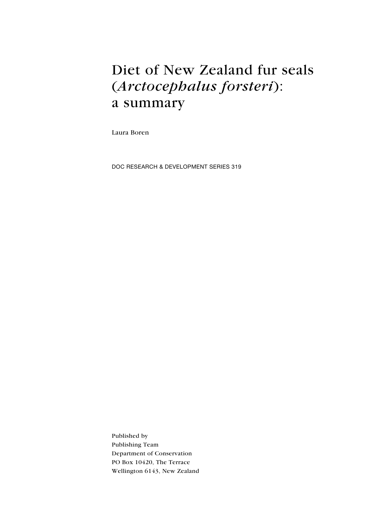# Diet of New Zealand fur seals (Arctocephalus forsteri): a summary

Laura Boren

DOC Research & Development Series 319

Published by Publishing Team Department of Conservation PO Box 10420, The Terrace Wellington 6143, New Zealand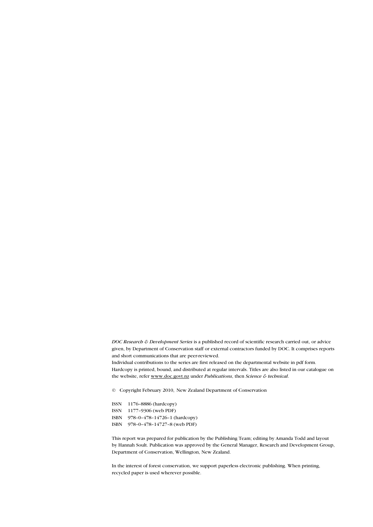DOC Research & Development Series is a published record of scientific research carried out, or advice given, by Department of Conservation staff or external contractors funded by DOC. It comprises reports and short communications that are peer-reviewed.

Individual contributions to the series are first released on the departmental website in pdf form. Hardcopy is printed, bound, and distributed at regular intervals. Titles are also listed in our catalogue on the website, refer www.doc.govt.nz under Publications, then Science & technical.

© Copyright February 2010, New Zealand Department of Conservation

ISSN 1176–8886 (hardcopy) ISSN 1177–9306 (web PDF) ISBN 978–0–478–14726–1 (hardcopy) ISBN 978–0–478–14727–8 (web PDF)

This report was prepared for publication by the Publishing Team; editing by Amanda Todd and layout by Hannah Soult. Publication was approved by the General Manager, Research and Development Group, Department of Conservation, Wellington, New Zealand.

In the interest of forest conservation, we support paperless electronic publishing. When printing, recycled paper is used wherever possible.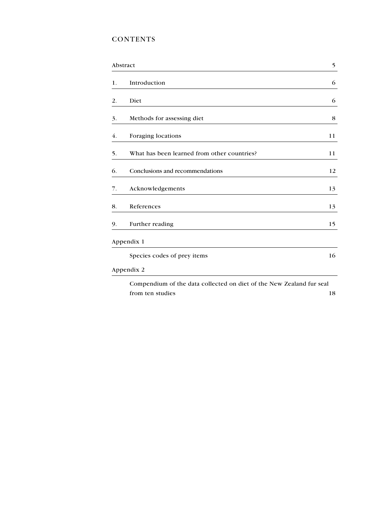### **CONTENTS**

|    | Abstract                                                             | 5  |
|----|----------------------------------------------------------------------|----|
| 1. | Introduction                                                         | 6  |
| 2. | Diet                                                                 | 6  |
| 3. | Methods for assessing diet                                           | 8  |
| 4. | Foraging locations                                                   | 11 |
| 5. | What has been learned from other countries?                          | 11 |
| 6. | Conclusions and recommendations                                      | 12 |
| 7. | Acknowledgements                                                     | 13 |
| 8. | References                                                           | 13 |
| 9. | Further reading                                                      | 15 |
|    | Appendix 1                                                           |    |
|    | Species codes of prey items                                          | 16 |
|    | Appendix 2                                                           |    |
|    | Compendium of the data collected on diet of the New Zealand fur seal |    |
|    | from ten studies                                                     | 18 |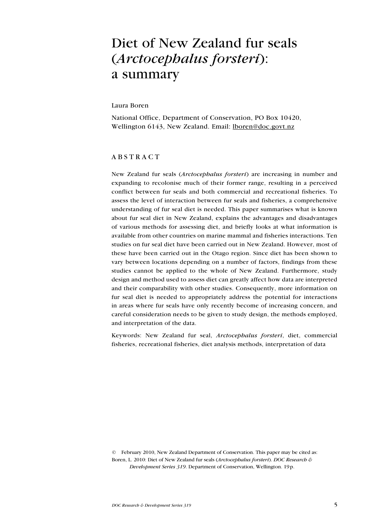### Diet of New Zealand fur seals (*Arctocephalus forsteri*): a summary

Laura Boren

National Office, Department of Conservation, PO Box 10420, Wellington 6143, New Zealand. Email: lboren@doc.govt.nz

#### **ABSTRACT**

New Zealand fur seals (Arctocephalus forsteri) are increasing in number and expanding to recolonise much of their former range, resulting in a perceived conflict between fur seals and both commercial and recreational fisheries. To assess the level of interaction between fur seals and fisheries, a comprehensive understanding of fur seal diet is needed. This paper summarises what is known about fur seal diet in New Zealand, explains the advantages and disadvantages of various methods for assessing diet, and briefly looks at what information is available from other countries on marine mammal and fisheries interactions. Ten studies on fur seal diet have been carried out in New Zealand. However, most of these have been carried out in the Otago region. Since diet has been shown to vary between locations depending on a number of factors, findings from these studies cannot be applied to the whole of New Zealand. Furthermore, study design and method used to assess diet can greatly affect how data are interpreted and their comparability with other studies. Consequently, more information on fur seal diet is needed to appropriately address the potential for interactions in areas where fur seals have only recently become of increasing concern, and careful consideration needs to be given to study design, the methods employed, and interpretation of the data.

Keywords: New Zealand fur seal, Arctocephalus forsteri, diet, commercial fisheries, recreational fisheries, diet analysis methods, interpretation of data

© February 2010, New Zealand Department of Conservation. This paper may be cited as: Boren, L. 2010: Diet of New Zealand fur seals (Arctocephalus forsteri). DOC Research & Development Series 319. Department of Conservation, Wellington. 19p.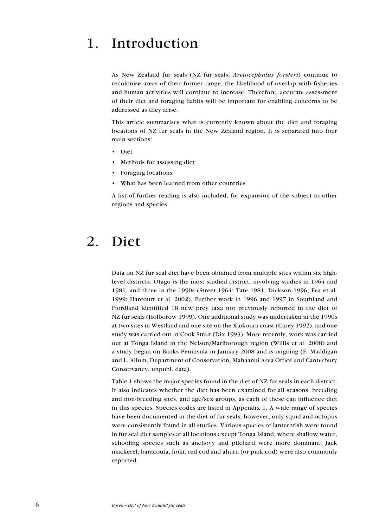### 1. Introduction

As New Zealand fur seals (NZ fur seals; Arctocephalus forsteri) continue to recolonise areas of their former range, the likelihood of overlap with fisheries and human activities will continue to increase. Therefore, accurate assessment of their diet and foraging habits will be important for enabling concerns to be addressed as they arise.

This article summarises what is currently known about the diet and foraging locations of NZ fur seals in the New Zealand region. It is separated into four main sections:

- D<sub>iet</sub>
- Methods for assessing diet
- Foraging locations
- What has been learned from other countries

A list of further reading is also included, for expansion of the subject to other regions and species.

## 2. Diet

Data on NZ fur seal diet have been obtained from multiple sites within six highlevel districts. Otago is the most studied district, involving studies in 1964 and 1981, and three in the 1990s (Street 1964; Tate 1981; Dickson 1996; Fea et al. 1999; Harcourt et al. 2002). Further work in 1996 and 1997 in Southland and Fiordland identified 18 new prey taxa not previously reported in the diet of NZ fur seals (Holborow 1999). One additional study was undertaken in the 1990s at two sites in Westland and one site on the Kaikoura coast (Carey 1992), and one study was carried out in Cook Strait (Dix 1993). More recently, work was carried out at Tonga Island in the Nelson/Marlborough region (Willis et al. 2008) and a study began on Banks Peninsula in January 2008 and is ongoing (F. Maddigan and L. Allum, Department of Conservation, Mahaanui Area Office and Canterbury Conservancy, unpubl. data).

Table 1 shows the major species found in the diet of NZ fur seals in each district. It also indicates whether the diet has been examined for all seasons, breeding and non-breeding sites, and age/sex groups, as each of these can influence diet in this species. Species codes are listed in Appendix 1. A wide range of species have been documented in the diet of fur seals; however, only squid and octopus were consistently found in all studies. Various species of lanternfish were found in fur seal diet samples at all locations except Tonga Island, where shallow water, schooling species such as anchovy and pilchard were more dominant. Jack mackerel, baracouta, hoki, red cod and ahuru (or pink cod) were also commonly reported.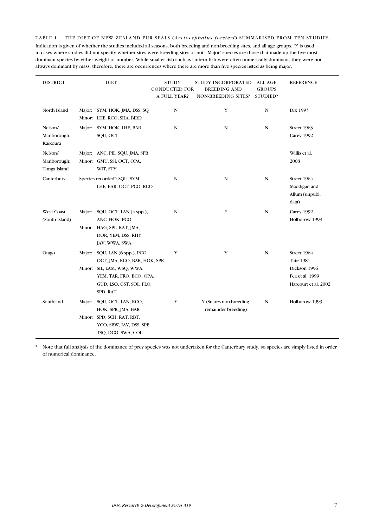Table 1. The diet of New Zealand fur seals (Arctocephalus forsteri) summarised from ten studies. Indication is given of whether the studies included all seasons, both breeding and non-breeding sites, and all age groups. '?' is used in cases where studies did not specify whether sites were breeding sites or not. 'Major' species are those that made up the five most dominant species by either weight or number. While smaller fish such as lantern fish were often numerically dominant, they were not always dominant by mass; therefore, there are occurrences where there are more than five species listed as being major.

| <b>DISTRICT</b>                         |        | <b>DIET</b>                                                                                                                                               | <b>STUDY</b><br><b>CONDUCTED FOR</b><br>A FULL YEAR? | STUDY INCORPORATED<br><b>BREEDING AND</b><br>NON-BREEDING SITES? | ALL AGE<br><b>GROUPS</b><br>STUDIED? | <b>REFERENCE</b>                                                                           |
|-----------------------------------------|--------|-----------------------------------------------------------------------------------------------------------------------------------------------------------|------------------------------------------------------|------------------------------------------------------------------|--------------------------------------|--------------------------------------------------------------------------------------------|
| North Island                            |        | Major: SYM, HOK, JMA, DSS, SQ<br>Minor: LHE, RCO, SHA, BIRD                                                                                               | N                                                    | Y                                                                | N                                    | Dix 1993                                                                                   |
| Nelson/<br>Marlborough:<br>Kaikoura     |        | Major: SYM, HOK, LHE, BAR,<br>SQU, OCT                                                                                                                    | N                                                    | N                                                                | N                                    | Street 1963<br>Carey 1992                                                                  |
| Nelson/<br>Marlborough:<br>Tonga Island |        | Major: ANC, PIL, SQU, JMA, SPR<br>Minor: GMU, SSI, OCT, OPA,<br>WIT, STY                                                                                  |                                                      |                                                                  |                                      | Willis et al.<br>2008                                                                      |
| Canterbury                              |        | Species recorded*: SQU, SYM,<br>LHE, BAR, OCT, PCO, RCO                                                                                                   | N                                                    | N                                                                | N                                    | Street 1964<br>Maddigan and<br>Allum (unpubl.<br>data)                                     |
| <b>West Coast</b><br>(South Island)     |        | Major: SQU, OCT, LAN (4 spp.),<br>ANC, HOK, PCO<br>Minor: HAG, SPL, RAT, JMA,<br>DOR, YEM, DSS, RHY,<br>JAV, WWA, SWA                                     | N                                                    | P                                                                | N                                    | Carey 1992<br>Holborow 1999                                                                |
| Otago                                   | Major: | SQU, LAN (6 spp.), PCO,<br>OCT, JMA, RCO, BAR, HOK, SPR<br>Minor: SIL, LAM, WSQ, WWA,<br>YEM, TAR, FRO, BCO, OPA,<br>GUD, LSO, GST, SOL, FLO,<br>SPD, RAT | Y                                                    | Y                                                                | N                                    | Street 1964<br><b>Tate 1981</b><br>Dickson 1996<br>Fea et al. 1999<br>Harcourt et al. 2002 |
| Southland                               | Major: | SQU, OCT, LAN, RCO,<br>HOK, SPR, JMA, BAR<br>Minor: SPD, SCH, RAT, RBT,<br>YCO, SBW, JAV, DSS, SPE,<br>TSQ, DCO, SWA, COL                                 | Y                                                    | Y (Snares non-breeding,<br>remainder breeding)                   | N                                    | Holborow 1999                                                                              |

\* Note that full analysis of the dominance of prey species was not undertaken for the Canterbury study, so species are simply listed in order of numerical dominance.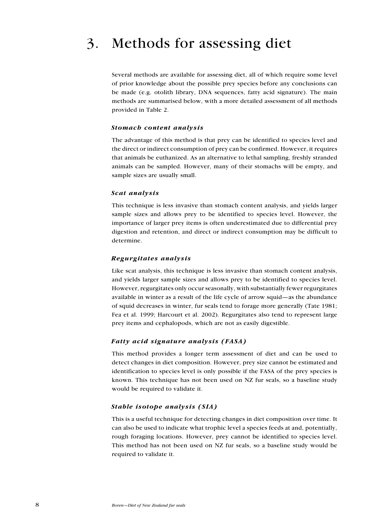## 3. Methods for assessing diet

Several methods are available for assessing diet, all of which require some level of prior knowledge about the possible prey species before any conclusions can be made (e.g. otolith library, DNA sequences, fatty acid signature). The main methods are summarised below, with a more detailed assessment of all methods provided in Table 2.

#### Stomach content analysis

The advantage of this method is that prey can be identified to species level and the direct or indirect consumption of prey can be confirmed. However, it requires that animals be euthanized. As an alternative to lethal sampling, freshly stranded animals can be sampled. However, many of their stomachs will be empty, and sample sizes are usually small.

#### Scat analysis

This technique is less invasive than stomach content analysis, and yields larger sample sizes and allows prey to be identified to species level. However, the importance of larger prey items is often underestimated due to differential prey digestion and retention, and direct or indirect consumption may be difficult to determine.

#### Regurgitates analysis

Like scat analysis, this technique is less invasive than stomach content analysis, and yields larger sample sizes and allows prey to be identified to species level. However, regurgitates only occur seasonally, with substantially fewer regurgitates available in winter as a result of the life cycle of arrow squid—as the abundance of squid decreases in winter, fur seals tend to forage more generally (Tate 1981; Fea et al. 1999; Harcourt et al. 2002). Regurgitates also tend to represent large prey items and cephalopods, which are not as easily digestible.

#### Fatty acid signature analysis (FASA)

This method provides a longer term assessment of diet and can be used to detect changes in diet composition. However, prey size cannot be estimated and identification to species level is only possible if the FASA of the prey species is known. This technique has not been used on NZ fur seals, so a baseline study would be required to validate it.

#### Stable isotope analysis (SIA)

This is a useful technique for detecting changes in diet composition over time. It can also be used to indicate what trophic level a species feeds at and, potentially, rough foraging locations. However, prey cannot be identified to species level. This method has not been used on NZ fur seals, so a baseline study would be required to validate it.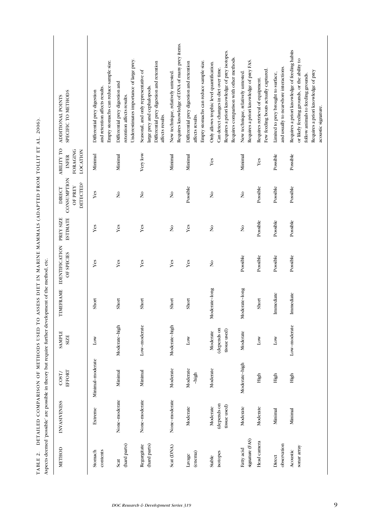|                               |                                         | Aspects deemed 'possible' are possible in theory but require further development of the method, etc. |                                         |               |                                     |                              |                                                             |                                                                         |                                                                                                                                                                                                   |
|-------------------------------|-----------------------------------------|------------------------------------------------------------------------------------------------------|-----------------------------------------|---------------|-------------------------------------|------------------------------|-------------------------------------------------------------|-------------------------------------------------------------------------|---------------------------------------------------------------------------------------------------------------------------------------------------------------------------------------------------|
| METHOD                        | <b>INVASIVENESS</b>                     | EFFORT<br>COST/                                                                                      | <b>SAMPLE</b><br><b>SIZE</b>            | TIMEFRAME     | <b>IDENTIFICATION</b><br>OF SPECIES | <b>ESTIMATE</b><br>PREY SIZE | CONSUMPTION<br>DETECTED?<br><b>OF PREY</b><br><b>DIRECT</b> | <b>ABILITY TO</b><br><b>LOCATION</b><br><b>FORAGING</b><br><b>INFER</b> | SPECIFIC TO METHODS<br>ADDITIONAL POINTS                                                                                                                                                          |
| contents<br>Stomach           | Extreme                                 | Minimal-moderate                                                                                     | Low                                     | Short         | Yes                                 | Yes                          | Yes                                                         | Minimal                                                                 | Empty stomachs can reduce sample size.<br>and retention affects results.<br>Differential prey digestion                                                                                           |
| (hard parts)<br>Scat          | None-moderate                           | Minimal                                                                                              | Moderate-high                           | Short         | Yes                                 | Yes                          | $\tilde{\mathbf{z}}$                                        | Mininal                                                                 | Underestimates importance of large prey.<br>Differential prey digestion and<br>retention affects results.                                                                                         |
| (hard parts)<br>Regurgitate   | None-moderate                           | Mininal                                                                                              | Low-moderate                            | Short         | Yes                                 | Yes                          | $\frac{1}{2}$                                               | Very low                                                                | Differential prey digestion and retention<br>Seasonal, and only representative of<br>large prey and cephalopods.<br>affects results.                                                              |
| Scat (DNA)                    | None-moderate                           | Moderate                                                                                             | Moderate-high                           | Short         | Yes                                 | $\tilde{\mathbf{z}}$         | $\frac{1}{2}$                                               | Minimal                                                                 | Requires knowledge of DNA of many prey items.<br>New technique, relatively untested.                                                                                                              |
| (enema)<br>Lavage             | Moderate                                | Moderate<br>-high                                                                                    | $_{\rm Low}$                            | Short         | Yes                                 | Yes                          | Possible                                                    | Minimal                                                                 | Empty stomachs can reduce sample size.<br>Differential prey digestion and retention<br>affects results.                                                                                           |
| isotopes<br>Stable            | (depends on<br>tissue used)<br>Moderate | Moderate                                                                                             | (depends on<br>tissue used)<br>Moderate | Moderate-long | $\frac{1}{2}$                       | $\tilde{\mathbf{z}}$         | $\frac{1}{2}$                                               | Yes                                                                     | Requires a priori knowledge of prey isotopes.<br>Requires comparison with other methods.<br>Only allows trophic level quantification.<br>Can detect changes in diet over time.                    |
| signature (FAS)<br>Fatty acid | Moderate                                | Moderate-high                                                                                        | Moderate                                | Moderate-long | Possible                            | $\tilde{\mathbf{z}}$         | $\tilde{\mathbf{z}}$                                        | Minimal                                                                 | Requires a priori knowledge of prey FAS.<br>New technique, relatively untested.                                                                                                                   |
| Head camera                   | Moderate                                | High                                                                                                 | $_{\text{Low}}$                         | Short         | Possible                            | Possible                     | Possible                                                    | Yes                                                                     | Few feeding bouts actually captured.<br>Requires retrieval of equipment.                                                                                                                          |
| observation<br>Direct         | Minimal                                 | High                                                                                                 | $_{\text{Low}}$                         | Immediate     | Possible                            | Possible                     | Possible                                                    | Possible                                                                | and usually to near-shore interactions.<br>Limited to prey brought to surface,                                                                                                                    |
| sonar array<br>Acoustic       | Minimal                                 | High                                                                                                 | Low-moderate                            | Immediate     | Possible                            | Possible                     | Possible                                                    | Possible                                                                | Requires a priori knowledge of feeding habits<br>or likely feeding grounds, or the ability to<br>Requires a priori knowledge of prey<br>follow animals to feeding grounds.<br>acoustic signature. |

Table 2. Detailed comparison of methods used to assess diet in marine mammals (adapted from Tollit et al. 2006).

TABLE 2. DETAILED COMPARISON OF METHODS USED TO ASSESS DIET IN MARINE MAMMALS (ADAPTED FROM TOLLIT ET AL. 2006).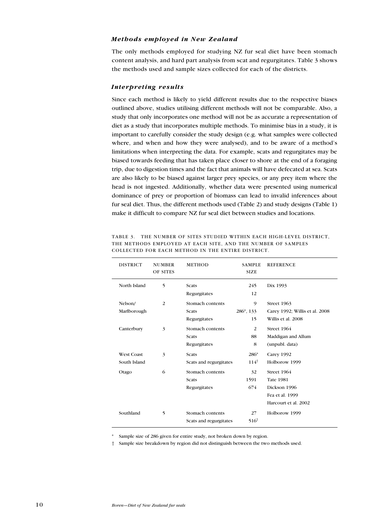#### Methods employed in New Zealand

The only methods employed for studying NZ fur seal diet have been stomach content analysis, and hard part analysis from scat and regurgitates. Table 3 shows the methods used and sample sizes collected for each of the districts.

#### Interpreting results

Since each method is likely to yield different results due to the respective biases outlined above, studies utilising different methods will not be comparable. Also, a study that only incorporates one method will not be as accurate a representation of diet as a study that incorporates multiple methods. To minimise bias in a study, it is important to carefully consider the study design (e.g. what samples were collected where, and when and how they were analysed), and to be aware of a method's limitations when interpreting the data. For example, scats and regurgitates may be biased towards feeding that has taken place closer to shore at the end of a foraging trip, due to digestion times and the fact that animals will have defecated at sea. Scats are also likely to be biased against larger prey species, or any prey item where the head is not ingested. Additionally, whether data were presented using numerical dominance of prey or proportion of biomass can lead to invalid inferences about fur seal diet. Thus, the different methods used (Table 2) and study designs (Table 1) make it difficult to compare NZ fur seal diet between studies and locations.

| <b>DISTRICT</b>   | <b>NUMBER</b><br>OF SITES | <b>METHOD</b>          | <b>SAMPLE</b><br><b>SIZE</b> | <b>REFERENCE</b>               |
|-------------------|---------------------------|------------------------|------------------------------|--------------------------------|
| North Island      | 5                         | Scats                  | 245                          | Dix 1993                       |
|                   |                           | Regurgitates           | 12                           |                                |
| Nelson/           | 2                         | Stomach contents       | 9                            | Street 1963                    |
| Marlborough       |                           | Scats                  | 286*, 133                    | Carey 1992; Willis et al. 2008 |
|                   |                           | Regurgitates           | 15                           | Willis et al. 2008             |
| Canterbury        | 3                         | Stomach contents       | 2                            | Street 1964                    |
|                   |                           | Scats                  | 88                           | Maddigan and Allum             |
|                   |                           | Regurgitates           | 8                            | (unpubl. data)                 |
| <b>West Coast</b> | 3                         | Scats                  | 286*                         | Carey 1992                     |
| South Island      |                           | Scats and regurgitates | $114^{\dagger}$              | Holborow 1999                  |
| Otago             | 6                         | Stomach contents       | 32                           | Street 1964                    |
|                   |                           | Scats                  | 1591                         | <b>Tate 1981</b>               |
|                   |                           | Regurgitates           | 674                          | Dickson 1996                   |
|                   |                           |                        |                              | Fea et al. 1999                |
|                   |                           |                        |                              | Harcourt et al. 2002           |
| Southland         | 5                         | Stomach contents       | 27                           | Holborow 1999                  |
|                   |                           | Scats and regurgitates | $516^{\dagger}$              |                                |

Table 3. The number of sites studied within each high-level district, the methods employed at each site, and the number of samples collected for each method in the entire district.

Sample size of 286 given for entire study, not broken down by region.

† Sample size breakdown by region did not distinguish between the two methods used.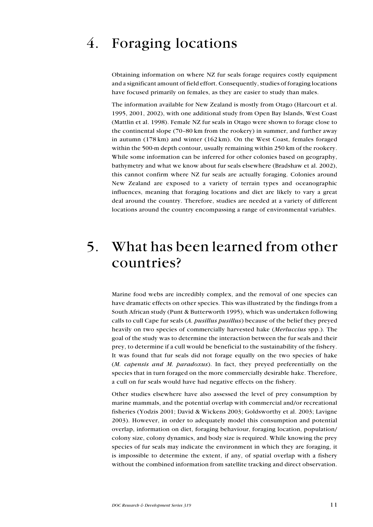# 4. Foraging locations

Obtaining information on where NZ fur seals forage requires costly equipment and a significant amount of field effort. Consequently, studies of foraging locations have focused primarily on females, as they are easier to study than males.

The information available for New Zealand is mostly from Otago (Harcourt et al. 1995, 2001, 2002), with one additional study from Open Bay Islands, West Coast (Mattlin et al. 1998). Female NZ fur seals in Otago were shown to forage close to the continental slope (70–80 km from the rookery) in summer, and further away in autumn (178 km) and winter (162 km). On the West Coast, females foraged within the 500-m depth contour, usually remaining within 250 km of the rookery. While some information can be inferred for other colonies based on geography, bathymetry and what we know about fur seals elsewhere (Bradshaw et al. 2002), this cannot confirm where NZ fur seals are actually foraging. Colonies around New Zealand are exposed to a variety of terrain types and oceanographic influences, meaning that foraging locations and diet are likely to vary a great deal around the country. Therefore, studies are needed at a variety of different locations around the country encompassing a range of environmental variables.

### 5. What has been learned from other countries?

Marine food webs are incredibly complex, and the removal of one species can have dramatic effects on other species. This was illustrated by the findings from a South African study (Punt & Butterworth 1995), which was undertaken following calls to cull Cape fur seals (A. pusillus pusillus) because of the belief they preyed heavily on two species of commercially harvested hake (Merluccius spp.). The goal of the study was to determine the interaction between the fur seals and their prey, to determine if a cull would be beneficial to the sustainability of the fishery. It was found that fur seals did not forage equally on the two species of hake (M. capensis and M. paradoxus). In fact, they preyed preferentially on the species that in turn foraged on the more commercially desirable hake. Therefore, a cull on fur seals would have had negative effects on the fishery.

Other studies elsewhere have also assessed the level of prey consumption by marine mammals, and the potential overlap with commercial and/or recreational fisheries (Yodzis 2001; David & Wickens 2003; Goldsworthy et al. 2003; Lavigne 2003). However, in order to adequately model this consumption and potential overlap, information on diet, foraging behaviour, foraging location, population/ colony size, colony dynamics, and body size is required. While knowing the prey species of fur seals may indicate the environment in which they are foraging, it is impossible to determine the extent, if any, of spatial overlap with a fishery without the combined information from satellite tracking and direct observation.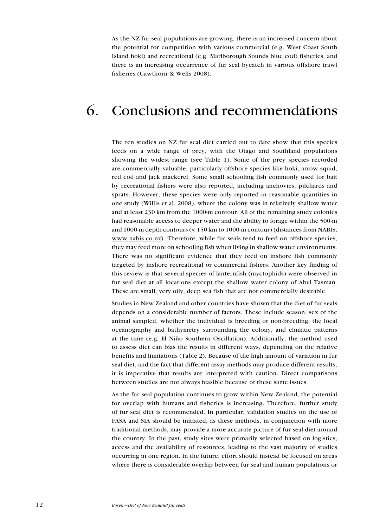As the NZ fur seal populations are growing, there is an increased concern about the potential for competition with various commercial (e.g. West Coast South Island hoki) and recreational (e.g. Marlborough Sounds blue cod) fisheries, and there is an increasing occurrence of fur seal bycatch in various offshore trawl fisheries (Cawthorn & Wells 2008).

### 6. Conclusions and recommendations

The ten studies on NZ fur seal diet carried out to date show that this species feeds on a wide range of prey, with the Otago and Southland populations showing the widest range (see Table 1). Some of the prey species recorded are commercially valuable, particularly offshore species like hoki, arrow squid, red cod and jack mackerel. Some small schooling fish commonly used for bait by recreational fishers were also reported, including anchovies, pilchards and sprats. However, these species were only reported in reasonable quantities in one study (Willis et al. 2008), where the colony was in relatively shallow water and at least 230 km from the 1000-m contour. All of the remaining study colonies had reasonable access to deeper water and the ability to forage within the 500-m and 1000-m depth contours (< 150 km to 1000-m contour) (distances from NABIS; www.nabis.co.nz). Therefore, while fur seals tend to feed on offshore species, they may feed more on schooling fish when living in shallow water environments. There was no significant evidence that they feed on inshore fish commonly targeted by inshore recreational or commercial fishers. Another key finding of this review is that several species of lanternfish (myctophids) were observed in fur seal diet at all locations except the shallow water colony of Abel Tasman. These are small, very oily, deep sea fish that are not commercially desirable.

Studies in New Zealand and other countries have shown that the diet of fur seals depends on a considerable number of factors. These include season, sex of the animal sampled, whether the individual is breeding or non-breeding, the local oceanography and bathymetry surrounding the colony, and climatic patterns at the time (e.g. El Niño Southern Oscillation). Additionally, the method used to assess diet can bias the results in different ways, depending on the relative benefits and limitations (Table 2). Because of the high amount of variation in fur seal diet, and the fact that different assay methods may produce different results, it is imperative that results are interpreted with caution. Direct comparisons between studies are not always feasible because of these same issues.

As the fur seal population continues to grow within New Zealand, the potential for overlap with humans and fisheries is increasing. Therefore, further study of fur seal diet is recommended. In particular, validation studies on the use of FASA and SIA should be initiated, as these methods, in conjunction with more traditional methods, may provide a more accurate picture of fur seal diet around the country. In the past, study sites were primarily selected based on logistics, access and the availability of resources, leading to the vast majority of studies occurring in one region. In the future, effort should instead be focused on areas where there is considerable overlap between fur seal and human populations or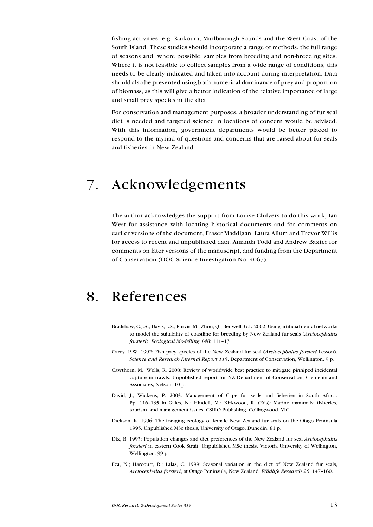fishing activities, e.g. Kaikoura, Marlborough Sounds and the West Coast of the South Island. These studies should incorporate a range of methods, the full range of seasons and, where possible, samples from breeding and non-breeding sites. Where it is not feasible to collect samples from a wide range of conditions, this needs to be clearly indicated and taken into account during interpretation. Data should also be presented using both numerical dominance of prey and proportion of biomass, as this will give a better indication of the relative importance of large and small prey species in the diet.

For conservation and management purposes, a broader understanding of fur seal diet is needed and targeted science in locations of concern would be advised. With this information, government departments would be better placed to respond to the myriad of questions and concerns that are raised about fur seals and fisheries in New Zealand.

## 7. Acknowledgements

The author acknowledges the support from Louise Chilvers to do this work, Ian West for assistance with locating historical documents and for comments on earlier versions of the document, Fraser Maddigan, Laura Allum and Trevor Willis for access to recent and unpublished data, Amanda Todd and Andrew Baxter for comments on later versions of the manuscript, and funding from the Department of Conservation (DOC Science Investigation No. 4067).

### 8. References

- Bradshaw, C.J.A.; Davis, L.S.; Purvis, M.; Zhou, Q.; Benwell, G.L. 2002: Using artificial neural networks to model the suitability of coastline for breeding by New Zealand fur seals (*Arctocephalus* forsteri). Ecological Modelling 148: 111–131.
- Carey, P.W. 1992: Fish prey species of the New Zealand fur seal (Arctocephalus forsteri Lesson). Science and Research Internal Report 115. Department of Conservation, Wellington. 9 p.
- Cawthorn, M.; Wells, R. 2008: Review of worldwide best practice to mitigate pinniped incidental capture in trawls. Unpublished report for NZ Department of Conservation, Clements and Associates, Nelson. 10 p.
- David, J.; Wickens, P. 2003: Management of Cape fur seals and fisheries in South Africa. Pp. 116–135 in Gales, N.; Hindell, M.; Kirkwood, R. (Eds): Marine mammals: fisheries, tourism, and management issues. CSIRO Publishing, Collingwood, VIC.
- Dickson, K. 1996: The foraging ecology of female New Zealand fur seals on the Otago Peninsula 1995. Unpublished MSc thesis, University of Otago, Dunedin. 81 p.
- Dix, B. 1993: Population changes and diet preferences of the New Zealand fur seal Arctocephalus forsteri in eastern Cook Strait. Unpublished MSc thesis, Victoria University of Wellington, Wellington. 99 p.
- Fea, N.; Harcourt, R.; Lalas, C. 1999: Seasonal variation in the diet of New Zealand fur seals, Arctocephalus forsteri, at Otago Peninsula, New Zealand. Wildlife Research 26: 147–160.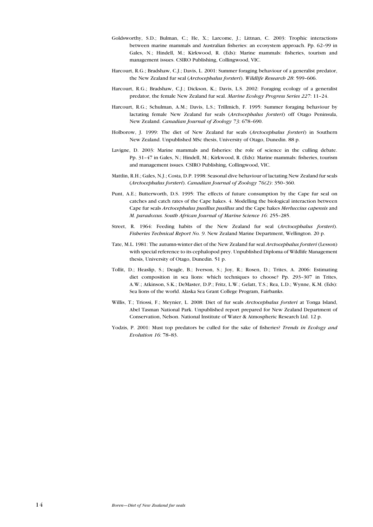- Goldsworthy, S.D.; Bulman, C.; He, X.; Larcome, J.; Littnan, C. 2003: Trophic interactions between marine mammals and Australian fisheries: an ecosystem approach. Pp. 62–99 in Gales, N.; Hindell, M.; Kirkwood, R. (Eds): Marine mammals: fisheries, tourism and management issues. CSIRO Publishing, Collingwood, VIC.
- Harcourt, R.G.; Bradshaw, C.J.; Davis, L. 2001: Summer foraging behaviour of a generalist predator, the New Zealand fur seal (Arctocephalus forsteri). Wildlife Research 28: 599-606.
- Harcourt, R.G.; Bradshaw, C.J.; Dickson, K.; Davis, L.S. 2002: Foraging ecology of a generalist predator, the female New Zealand fur seal. Marine Ecology Progress Series 227: 11–24.
- Harcourt, R.G.; Schulman, A.M.; Davis, L.S.; Trillmich, F. 1995: Summer foraging behaviour by lactating female New Zealand fur seals (Arctocephalus forsteri) off Otago Peninsula, New Zealand. Canadian Journal of Zoology 73: 678–690.
- Holborow, J. 1999: The diet of New Zealand fur seals (Arctocephalus forsteri) in Southern New Zealand. Unpublished MSc thesis, University of Otago, Dunedin. 88 p.
- Lavigne, D. 2003: Marine mammals and fisheries: the role of science in the culling debate. Pp. 31–47 in Gales, N.; Hindell, M.; Kirkwood, R. (Eds): Marine mammals: fisheries, tourism and management issues. CSIRO Publishing, Collingwood, VIC.
- Mattlin, R.H.; Gales, N.J.; Costa, D.P. 1998: Seasonal dive behaviour of lactating New Zealand fur seals (Arctocephalus forsteri). Canadian Journal of Zoology 76(2): 350–360.
- Punt, A.E.; Butterworth, D.S. 1995: The effects of future consumption by the Cape fur seal on catches and catch rates of the Cape hakes. 4. Modelling the biological interaction between Cape fur seals Arctocephalus pusillus pusillus and the Cape hakes Merluccius capensis and M. paradoxus. South African Journal of Marine Science 16: 255–285.
- Street, R. 1964: Feeding habits of the New Zealand fur seal (Arctocephalus forsteri). Fisheries Technical Report No. 9. New Zealand Marine Department, Wellington. 20 p.
- Tate, M.L. 1981: The autumn-winter diet of the New Zealand fur seal Arctocephalus forsteri (Lesson) with special reference to its cephalopod prey. Unpublished Diploma of Wildlife Management thesis, University of Otago, Dunedin. 51 p.
- Tollit, D.; Heaslip, S.; Deagle, B.; Iverson, S.; Joy, R.; Rosen, D.; Trites, A. 2006: Estimating diet composition in sea lions: which techniques to choose? Pp. 293–307 in Trites, A.W.; Atkinson, S.K.; DeMaster, D.P.; Fritz, L.W.; Gelatt, T.S.; Rea, L.D.; Wynne, K.M. (Eds): Sea lions of the world. Alaska Sea Grant College Program, Fairbanks.
- Willis, T.; Triossi, F.; Meynier, L. 2008: Diet of fur seals Arctocephalus forsteri at Tonga Island, Abel Tasman National Park. Unpublished report prepared for New Zealand Department of Conservation, Nelson. National Institute of Water & Atmospheric Research Ltd. 12 p.
- Yodzis, P. 2001: Must top predators be culled for the sake of fisheries? Trends in Ecology and Evolution 16: 78–83.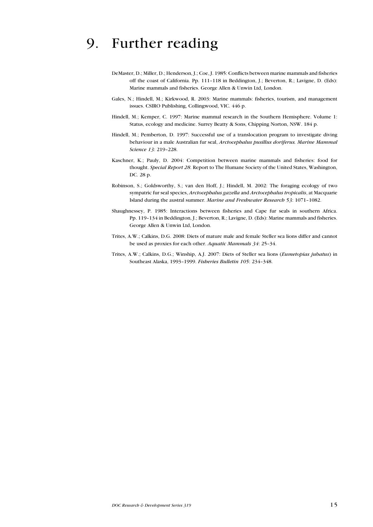### 9. Further reading

- DeMaster, D.; Miller, D.; Henderson, J.; Coe, J. 1985: Conflicts between marine mammals and fisheries off the coast of California. Pp. 111–118 in Beddington, J.; Beverton, R.; Lavigne, D. (Eds): Marine mammals and fisheries. George Allen & Unwin Ltd, London.
- Gales, N.; Hindell, M.; Kirkwood, R. 2003: Marine mammals: fisheries, tourism, and management issues. CSIRO Publishing, Collingwood, VIC. 446 p.
- Hindell, M.; Kemper, C. 1997: Marine mammal research in the Southern Hemisphere. Volume 1: Status, ecology and medicine. Surrey Beatty & Sons, Chipping Norton, NSW. 184 p.
- Hindell, M.; Pemberton, D. 1997: Successful use of a translocation program to investigate diving behaviour in a male Australian fur seal, Arctocephalus pusillus doriferus. Marine Mammal Science 13: 219–228.
- Kaschner, K.; Pauly, D. 2004: Competition between marine mammals and fisheries: food for thought. Special Report 28. Report to The Humane Society of the United States, Washington, DC. 28 p.
- Robinson, S.; Goldsworthy, S.; van den Hoff, J.; Hindell, M. 2002: The foraging ecology of two sympatric fur seal species, Arctocephalus gazella and Arctocephalus tropicalis, at Macquarie Island during the austral summer. Marine and Freshwater Research 53: 1071–1082.
- Shaughnessey, P. 1985: Interactions between fisheries and Cape fur seals in southern Africa. Pp. 119–134 in Beddington, J.; Beverton, R.; Lavigne, D. (Eds): Marine mammals and fisheries. George Allen & Unwin Ltd, London.
- Trites, A.W.; Calkins, D.G. 2008: Diets of mature male and female Steller sea lions differ and cannot be used as proxies for each other. Aquatic Mammals 34: 25–34.
- Trites, A.W.; Calkins, D.G.; Winship, A.J. 2007: Diets of Steller sea lions (Eumetopias jubatus) in Southeast Alaska, 1993–1999. Fisheries Bulletin 105: 234–348.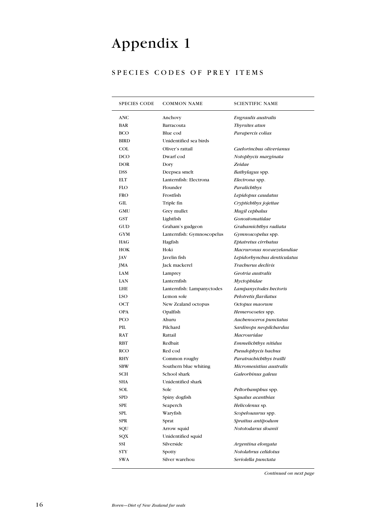# Appendix 1

### SPECIES CODES OF PREY ITEMS

| <b>SPECIES CODE</b> | <b>COMMON NAME</b>         | <b>SCIENTIFIC NAME</b>      |
|---------------------|----------------------------|-----------------------------|
| ANC                 | Anchovy                    | Engraulis australis         |
| <b>BAR</b>          | Barracouta                 | Thyrsites atun              |
| <b>BCO</b>          | Blue cod                   | Parapercis colias           |
| <b>BIRD</b>         | Unidentified sea birds     |                             |
| COL                 | Oliver's rattail           | Caelorinchus oliverianus    |
| <b>DCO</b>          | Dwarf cod                  | Notophycis marginata        |
| <b>DOR</b>          | Dory                       | Zeidae                      |
| <b>DSS</b>          | Deepsea smelt              | Bathylagus spp.             |
| ELT                 | Lanternfish: Electrona     | Electrona spp.              |
| <b>FLO</b>          | Flounder                   | Paralichthys                |
| <b>FRO</b>          | Frostfish                  | Lepidopus caudatus          |
| GIL                 | Triple fin                 | Cryptichthys jojettae       |
| GMU                 | Grey mullet                | Mugil cephalus              |
| GST                 | Lightfish                  | Gonostomatidae              |
| GUD                 | Graham's gudgeon           | Grabamichthys radiata       |
| <b>GYM</b>          | Lanternfish: Gymnoscopelus | Gymnoscopelus spp.          |
| <b>HAG</b>          | Hagfish                    | Eptatretus cirrbatus        |
| HOK                 | Hoki                       | Macruronus novaezelandiae   |
| JAV                 | Javelin fish               | Lepidorbynchus denticulatus |
| <b>JMA</b>          | Jack mackerel              | Trachurus declivis          |
| LAM                 | Lamprey                    | Geotria australis           |
| LAN                 | Lanternfish                | Myctophidae                 |
| <b>LHE</b>          | Lanternfish: Lampanyctodes | Lampanyctodes hectoris      |
| <b>LSO</b>          | Lemon sole                 | Pelotretis flavilatus       |
| OCT                 | New Zealand octopus        | Octopus maorum              |
| <b>OPA</b>          | Opalfish                   | Hemerocoetes spp.           |
| PCO                 | Ahuru                      | Auchenoceros punctatus      |
| PIL                 | Pilchard                   | Sardinops neopilchardus     |
| RAT                 | Rattail                    | Macrouridae                 |
| RBT                 | Redbait                    | Emmelichthys nitidus        |
| <b>RCO</b>          | Red cod                    | Pseudophycis bachus         |
| RHY                 | Common roughy              | Paratrachichthys trailli    |
| <b>SBW</b>          | Southern blue whiting      | Micromesistius australis    |
| SCH                 | School shark               | Galeorbinus galeus          |
| SHA                 | Unidentified shark         |                             |
| SOL                 | Sole                       | Peltorbamphus spp.          |
| <b>SPD</b>          | Spiny dogfish              | Squalus acanthias           |
| SPE                 | Seaperch                   | Helicolenus sp.             |
| SPL                 | Waryfish                   | Scopelosaurus spp.          |
| <b>SPR</b>          | Sprat                      | Sprattus antipodum          |
| SQU                 | Arrow squid                | Nototodarus sloanii         |
| SQX                 | Unidentified squid         |                             |
| SSI                 | Silverside                 | Argentina elongata          |
| <b>STY</b>          | Spotty                     | Notolabrus celidotus        |
| <b>SWA</b>          | Silver warehou             | Seriolella punctata         |

Continued on next page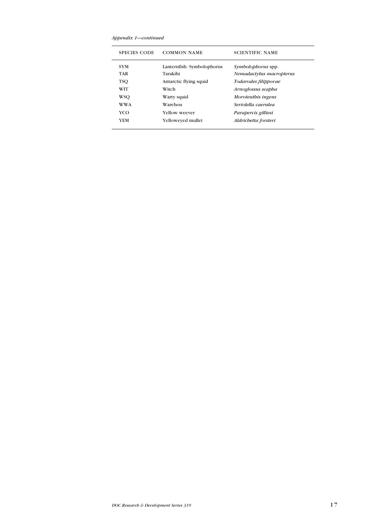Appendix 1—continued

| <b>SPECIES CODE</b> | <b>COMMON NAME</b>         | <b>SCIENTIFIC NAME</b>    |
|---------------------|----------------------------|---------------------------|
| <b>SYM</b>          | Lanternfish: Symbolophorus | <i>Symbolophorus</i> spp. |
| <b>TAR</b>          | Tarakihi                   | Nemadactylus macropterus  |
| <b>TSO</b>          | Antarctic flying squid     | Todarodes filippovae      |
| WIT                 | Witch                      | Arnoglossus scapha        |
| WSO                 | Warty squid                | Moroteuthis ingens        |
| <b>WWA</b>          | Warehou                    | Seriolella caerulea       |
| YCO                 | Yellow weever              | Parapercis gilliesi       |
| YEM                 | Yelloweved mullet          | Aldrichetta forsteri      |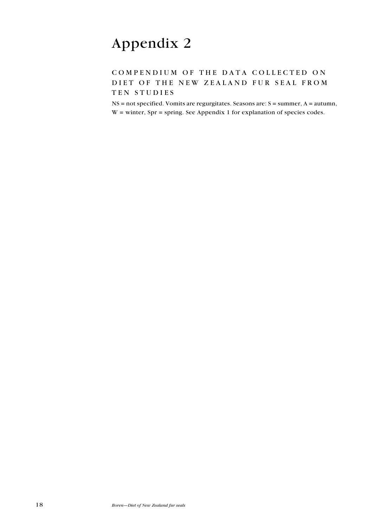# Appendix 2

### COMPENDIUM OF THE DATA COLLECTED ON DIET OF THE NEW ZEALAND FUR SEAL FROM TEN STUDIES

NS = not specified. Vomits are regurgitates. Seasons are: S = summer, A = autumn,  $W =$  winter, Spr = spring. See Appendix 1 for explanation of species codes.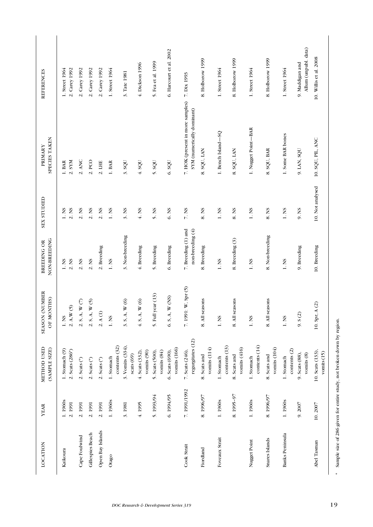| LOCATION               | <b>YEAR</b>       | METHOD USED<br>(SAMPLE SIZE)         | <b>(NUMBER</b><br>OF MONTHS)<br><b>SEASON</b> | NON-BREEDING<br>BREEDING OR               | SEX STUDIED                | SPECIES TAKEN<br>PRIMARY                                       | REFERENCES                              |
|------------------------|-------------------|--------------------------------------|-----------------------------------------------|-------------------------------------------|----------------------------|----------------------------------------------------------------|-----------------------------------------|
| Kaikoura               | 1.1960s<br>2.1991 | 1. Stomach (9)<br>2. Scats (286*)    | 2. A.W (5)<br>1. NS                           | 2. NS<br>1. N <sub>S</sub>                | 2. NS<br>1. N <sub>S</sub> | 2. SYM<br>$1.$ BAR                                             | 1. Street 1964<br>2. Carey 1992         |
| Cape Foulwind          | 2.1991            | $2.$ Scats $(*)$                     | $2.5, A, W$ $(7)$                             | 2. N <sub>S</sub>                         | 2. N <sub>S</sub>          | 2. ANC                                                         | 2. Carey 1992                           |
| Gillespies Beach       | 2.1991            | $2.$ Scats $(*)$                     | 2. S, A, W(5)                                 | 2. N <sub>S</sub>                         | 2. N <sub>S</sub>          | $2.$ PCO                                                       | 2. Carey 1992                           |
| Open Bay Islands       | 2.1991            | 2. Scats (*)                         | 2.A(1)                                        | 2. Breeding                               | 2. N <sub>S</sub>          | 2. IHE                                                         | 2. Carey 1992                           |
| Otago                  | 1.1960s           | contents (32)<br>1. Stomach          | 1. NS                                         | 1. N <sub>S</sub>                         | 1. NS                      | $1.$ BAR                                                       | 1. Street 1964                          |
|                        | 3.1981            | 3. Vomits (334),<br>scats (69)       | 3.5, A, W(6)                                  | 3. Non-breeding                           | 3. N <sub>S</sub>          | 3.8QU                                                          | 3. Tate 1981                            |
|                        | 4.1995            | 4. Scats (332),<br>vomits (90)       | 4.5, A, W(6)                                  | 4. Breeding                               | 4. N <sub>S</sub>          | 4.8QU                                                          | 4. Dickson 1996                         |
|                        | 5.1993/94         | 5. Scats (500),<br>vomits $(84)$     | year (13)<br>5. Full                          | 5. Breeding                               | 5. NS                      | 5. SQU                                                         | 5. Fea et al. 1999                      |
|                        | 6.1994/95         | vomits (166)<br>6. Scats (690),      | $6. S, A, W$ (NS)                             | 6. Breeding                               | 6. NS                      | 6. SQU                                                         | 6. Harcourt et al. 2002                 |
| Cook Strait            | 7.1991/1992       | regurgitates (12)<br>7. Scats (246), | 7.1991: W, Spr (5)                            | 7. Breeding (1) and<br>non-breeding $(4)$ | 7. N <sub>S</sub>          | 7. HOK (present in more samples)<br>SYM (numerically dominant) | 7. Dix 1993                             |
| Fiordland              | 8.1996/97         | vomits $(114)$<br>8. Scats and       | 8. All seasons                                | 8. Breeding                               | 8.NS                       | 8. SQU, LAN                                                    | 8. Holborow 1999                        |
| Foveaux Strait         | 1.1960s           | contents (13)<br>1. Stomach          | 1. N <sub>S</sub>                             | 1. N <sub>S</sub>                         | 1. N <sub>S</sub>          | 1. Bench Island-SQ                                             | 1. Street 1964                          |
|                        | 8.1995-97         | vomits $(416)$<br>8. Scats and       | 8. All seasons                                | 8. Breeding (3)                           | 8. NS                      | 8. SQU, LAN                                                    | 8. Holborow 1999                        |
| Nugget Point           | 1.1960s           | contents (14)<br>1. Stomach          | 1. N <sub>S</sub>                             | 1. N <sub>S</sub>                         | 1. N <sub>S</sub>          | 1. Nugget Point-BAR                                            | 1. Street 1964                          |
| Snares Islands         | 8.1996/97         | vomits $(104)$<br>8. Scats and       | 8. All seasons                                | 8. Non-breeding                           | 8. NS                      | 8. SQU, BAR                                                    | 8. Holborow 1999                        |
| <b>Banks Peninsula</b> | 1.1960s           | contents (2)<br>1. Stomach           | 1. N <sub>S</sub>                             | 1. N <sub>S</sub>                         | 1. N <sub>S</sub>          | 1. Some BAR bones                                              | 1. Street 1964                          |
|                        | 9.2007            | 9. Scats (88),<br>vomits (8)         | 9.5(2)                                        | 9. Breeding                               | 9. NS                      | 9. LAN, SQU                                                    | Allum (unpubl. data)<br>9. Maddigan and |
| Abel Tasman            | 10.2007           | 10. Scats (133),<br>$v$ omits $(15)$ | A(2)<br>10. Spr,                              | 10. Breeding                              | 10. Not analysed           | 10. SQU, PIL, ANC                                              | 10. Willis et al. 2008                  |